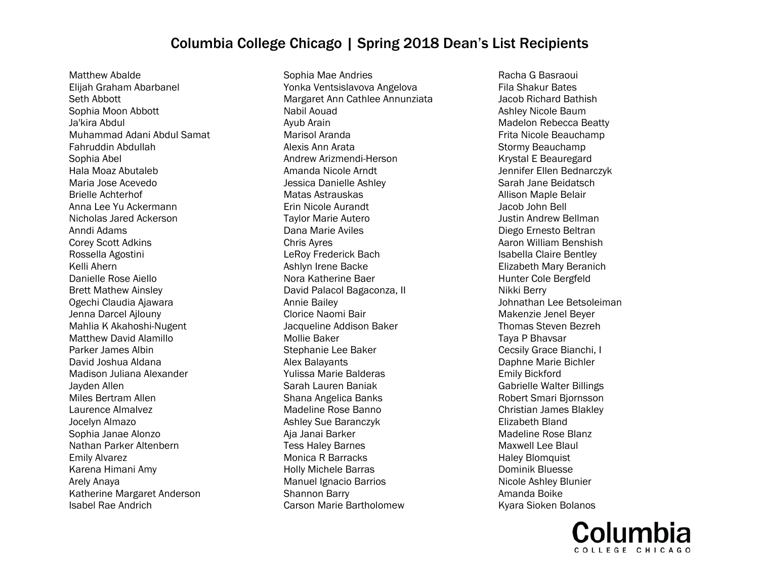Matthew Abalde Elijah Graham Abarbanel Seth Abbott Sophia Moon Abbott Ja'kira Abdul Muhammad Adani Abdul Samat Fahruddin Abdullah Sophia Abel Hala Moaz Abutaleb Maria Jose Acevedo Brielle Achterhof Anna Lee Yu Ackermann Nicholas Jared Ackerson Anndi Adams Corey Scott Adkins Rossella Agostini Kelli Ahern Danielle Rose Aiello Brett Mathew Ainsley Ogechi Claudia Ajawara Jenna Darcel Ajlouny Mahlia K Akahoshi-Nugent Matthew David Alamillo Parker James Albin David Joshua Aldana Madison Juliana Alexander Jayden Allen Miles Bertram Allen Laurence Almalvez Jocelyn Almazo Sophia Janae Alonzo Nathan Parker Altenbern Emily Alvarez Karena Himani Amy Arely Anaya Katherine Margaret Anderson Isabel Rae Andrich

Sophia Mae Andries Yonka Ventsislavova Angelova Margaret Ann Cathlee Annunziata Nabil Aouad Ayub Arain Marisol Aranda Alexis Ann Arata Andrew Arizmendi-Herson Amanda Nicole Arndt Jessica Danielle Ashley Matas Astrauskas Erin Nicole Aurandt Taylor Marie Autero Dana Marie Aviles Chris Ayres LeRoy Frederick Bach Ashlyn Irene Backe Nora Katherine Baer David Palacol Bagaconza, II Annie Bailey Clorice Naomi Bair Jacqueline Addison Baker Mollie Baker Stephanie Lee Baker Alex Balayants Yulissa Marie Balderas Sarah Lauren Baniak Shana Angelica Banks Madeline Rose Banno Ashley Sue Baranczyk Aja Janai Barker Tess Haley Barnes Monica R Barracks Holly Michele Barras Manuel Ignacio Barrios Shannon Barry Carson Marie Bartholomew

Racha G Basraoui Fila Shakur Bates Jacob Richard Bathish Ashley Nicole Baum Madelon Rebecca Beatty Frita Nicole Beauchamp Stormy Beauchamp Krystal E Beauregard Jennifer Ellen Bednarczyk Sarah Jane Beidatsch Allison Maple Belair Jacob John Bell Justin Andrew Bellman Diego Ernesto Beltran Aaron William Benshish Isabella Claire Bentley Elizabeth Mary Beranich Hunter Cole Bergfeld Nikki Berry Johnathan Lee Betsoleiman Makenzie Jenel Beyer Thomas Steven Bezreh Taya P Bhavsar Cecsily Grace Bianchi, I Daphne Marie Bichler Emily Bickford Gabrielle Walter Billings Robert Smari Bjornsson Christian James Blakley Elizabeth Bland Madeline Rose Blanz Maxwell Lee Blaul Haley Blomquist Dominik Bluesse Nicole Ashley Blunier Amanda Boike Kyara Sioken Bolanos

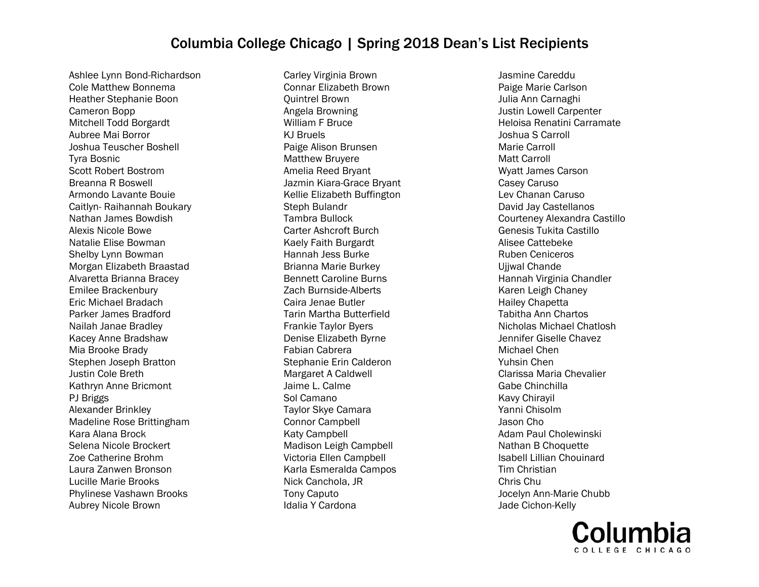Ashlee Lynn Bond-Richardson Cole Matthew Bonnema Heather Stephanie Boon Cameron Bopp Mitchell Todd Borgardt Aubree Mai Borror Joshua Teuscher Boshell Tyra Bosnic Scott Robert Bostrom Breanna R Boswell Armondo Lavante Bouie Caitlyn- Raihannah Boukary Nathan James Bowdish Alexis Nicole Bowe Natalie Elise Bowman Shelby Lynn Bowman Morgan Elizabeth Braastad Alvaretta Brianna Bracey Emilee Brackenbury Eric Michael Bradach Parker James Bradford Nailah Janae Bradley Kacey Anne Bradshaw Mia Brooke Brady Stephen Joseph Bratton Justin Cole Breth Kathryn Anne Bricmont PJ Briggs Alexander Brinkley Madeline Rose Brittingham Kara Alana Brock Selena Nicole Brockert Zoe Catherine Brohm Laura Zanwen Bronson Lucille Marie Brooks Phylinese Vashawn Brooks Aubrey Nicole Brown

Carley Virginia Brown Connar Elizabeth Brown Quintrel Brown Angela Browning William F Bruce KJ Bruels Paige Alison Brunsen Matthew Bruyere Amelia Reed Bryant Jazmin Kiara-Grace Bryant Kellie Elizabeth Buffington Steph Bulandr Tambra Bullock Carter Ashcroft Burch Kaely Faith Burgardt Hannah Jess Burke Brianna Marie Burkey Bennett Caroline Burns Zach Burnside-Alberts Caira Jenae Butler Tarin Martha Butterfield Frankie Taylor Byers Denise Elizabeth Byrne Fabian Cabrera Stephanie Erin Calderon Margaret A Caldwell Jaime L. Calme Sol Camano Taylor Skye Camara Connor Campbell Katy Campbell Madison Leigh Campbell Victoria Ellen Campbell Karla Esmeralda Campos Nick Canchola, JR Tony Caputo Idalia Y Cardona

Jasmine Careddu Paige Marie Carlson Julia Ann Carnaghi Justin Lowell Carpenter Heloisa Renatini Carramate Joshua S Carroll Marie Carroll Matt Carroll Wyatt James Carson Casey Caruso Lev Chanan Caruso David Jay Castellanos Courteney Alexandra Castillo Genesis Tukita Castillo Alisee Cattebeke Ruben Ceniceros Ujjwal Chande Hannah Virginia Chandler Karen Leigh Chaney Hailey Chapetta Tabitha Ann Chartos Nicholas Michael Chatlosh Jennifer Giselle Chavez Michael Chen Yuhsin Chen Clarissa Maria Chevalier Gabe Chinchilla Kavy Chirayil Yanni Chisolm Jason Cho Adam Paul Cholewinski Nathan B Choquette Isabell Lillian Chouinard Tim Christian Chris Chu Jocelyn Ann-Marie Chubb Jade Cichon-Kelly

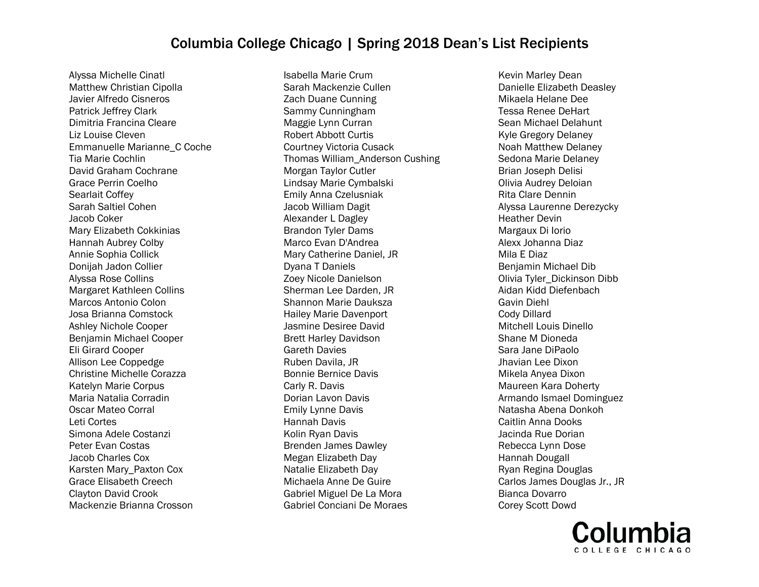Alyssa Michelle Cinatl Matthew Christian Cipolla Javier Alfredo Cisneros Patrick Jeffrey Clark Dimitria Francina Cleare Liz Louise Cleven Emmanuelle Marianne\_C Coche Tia Marie Cochlin David Graham Cochrane Grace Perrin Coelho Searlait Coffey Sarah Saltiel Cohen Jacob Coker Mary Elizabeth Cokkinias Hannah Aubrey Colby Annie Sophia Collick Donijah Jadon Collier Alyssa Rose Collins Margaret Kathleen Collins Marcos Antonio Colon Josa Brianna Comstock Ashley Nichole Cooper Benjamin Michael Cooper Eli Girard Cooper Allison Lee Coppedge Christine Michelle Corazza Katelyn Marie Corpus Maria Natalia Corradin Oscar Mateo Corral Leti Cortes Simona Adele Costanzi Peter Evan Costas Jacob Charles Cox Karsten Mary\_Paxton Cox Grace Elisabeth Creech Clayton David Crook Mackenzie Brianna Crosson

Isabella Marie Crum Sarah Mackenzie Cullen Zach Duane Cunning Sammy Cunningham Maggie Lynn Curran Robert Abbott Curtis Courtney Victoria Cusack Thomas William\_Anderson Cushing Morgan Taylor Cutler Lindsay Marie Cymbalski Emily Anna Czelusniak Jacob William Dagit Alexander L Dagley Brandon Tyler Dams Marco Evan D'Andrea Mary Catherine Daniel, JR Dyana T Daniels Zoey Nicole Danielson Sherman Lee Darden, JR Shannon Marie Dauksza Hailey Marie Davenport Jasmine Desiree David Brett Harley Davidson Gareth Davies Ruben Davila, JR Bonnie Bernice Davis Carly R. Davis Dorian Lavon Davis Emily Lynne Davis Hannah Davis Kolin Ryan Davis Brenden James Dawley Megan Elizabeth Day Natalie Elizabeth Day Michaela Anne De Guire Gabriel Miguel De La Mora Gabriel Conciani De Moraes

Kevin Marley Dean Danielle Elizabeth Deasley Mikaela Helane Dee Tessa Renee DeHart Sean Michael Delahunt Kyle Gregory Delaney Noah Matthew Delaney Sedona Marie Delaney Brian Joseph Delisi Olivia Audrey Deloian Rita Clare Dennin Alyssa Laurenne Derezycky Heather Devin Margaux Di Iorio Alexx Johanna Diaz Mila E Diaz Benjamin Michael Dib Olivia Tyler\_Dickinson Dibb Aidan Kidd Diefenbach Gavin Diehl Cody Dillard Mitchell Louis Dinello Shane M Dioneda Sara Jane DiPaolo Jhavian Lee Dixon Mikela Anyea Dixon Maureen Kara Doherty Armando Ismael Dominguez Natasha Abena Donkoh Caitlin Anna Dooks Jacinda Rue Dorian Rebecca Lynn Dose Hannah Dougall Ryan Regina Douglas Carlos James Douglas Jr., JR Bianca Dovarro Corey Scott Dowd

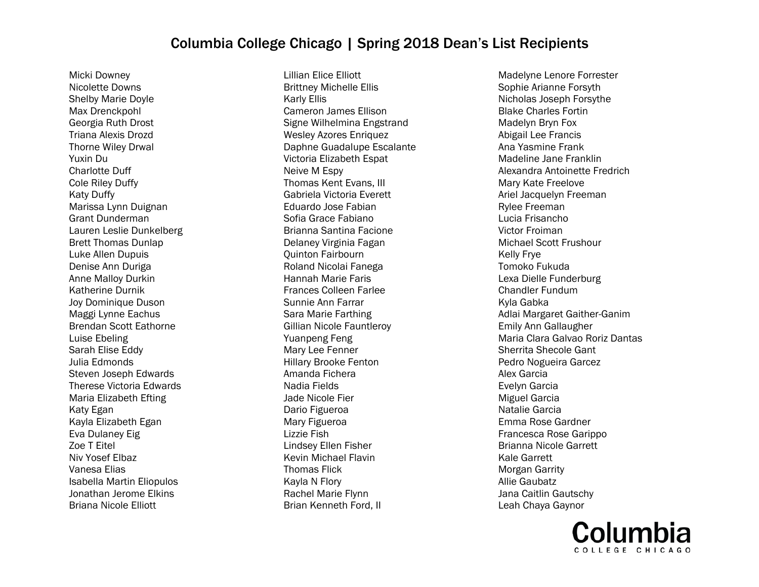Micki Downey Nicolette Downs Shelby Marie Doyle Max Drenckpohl Georgia Ruth Drost Triana Alexis Drozd Thorne Wiley Drwal Yuxin Du Charlotte Duff Cole Riley Duffy Katy Duffy Marissa Lynn Duignan Grant Dunderman Lauren Leslie Dunkelberg Brett Thomas Dunlap Luke Allen Dupuis Denise Ann Duriga Anne Malloy Durkin Katherine Durnik Joy Dominique Duson Maggi Lynne Eachus Brendan Scott Eathorne Luise Ebeling Sarah Elise Eddy Julia Edmonds Steven Joseph Edwards Therese Victoria Edwards Maria Elizabeth Efting Katy Egan Kayla Elizabeth Egan Eva Dulaney Eig Zoe T Eitel Niv Yosef Elbaz Vanesa Elias Isabella Martin Eliopulos Jonathan Jerome Elkins Briana Nicole Elliott

Lillian Elice Elliott Brittney Michelle Ellis Karly Ellis Cameron James Ellison Signe Wilhelmina Engstrand Wesley Azores Enriquez Daphne Guadalupe Escalante Victoria Elizabeth Espat Neive M Espy Thomas Kent Evans, III Gabriela Victoria Everett Eduardo Jose Fabian Sofia Grace Fabiano Brianna Santina Facione Delaney Virginia Fagan Quinton Fairbourn Roland Nicolai Fanega Hannah Marie Faris Frances Colleen Farlee Sunnie Ann Farrar Sara Marie Farthing Gillian Nicole Fauntleroy Yuanpeng Feng Mary Lee Fenner Hillary Brooke Fenton Amanda Fichera Nadia Fields Jade Nicole Fier Dario Figueroa Mary Figueroa Lizzie Fish Lindsey Ellen Fisher Kevin Michael Flavin Thomas Flick Kayla N Flory Rachel Marie Flynn Brian Kenneth Ford, II

Madelyne Lenore Forrester Sophie Arianne Forsyth Nicholas Joseph Forsythe Blake Charles Fortin Madelyn Bryn Fox Abigail Lee Francis Ana Yasmine Frank Madeline Jane Franklin Alexandra Antoinette Fredrich Mary Kate Freelove Ariel Jacquelyn Freeman Rylee Freeman Lucia Frisancho Victor Froiman Michael Scott Frushour Kelly Frye Tomoko Fukuda Lexa Dielle Funderburg Chandler Fundum Kyla Gabka Adlai Margaret Gaither-Ganim Emily Ann Gallaugher Maria Clara Galvao Roriz Dantas Sherrita Shecole Gant Pedro Nogueira Garcez Alex Garcia Evelyn Garcia Miguel Garcia Natalie Garcia Emma Rose Gardner Francesca Rose Garippo Brianna Nicole Garrett Kale Garrett Morgan Garrity Allie Gaubatz Jana Caitlin Gautschy Leah Chaya Gaynor

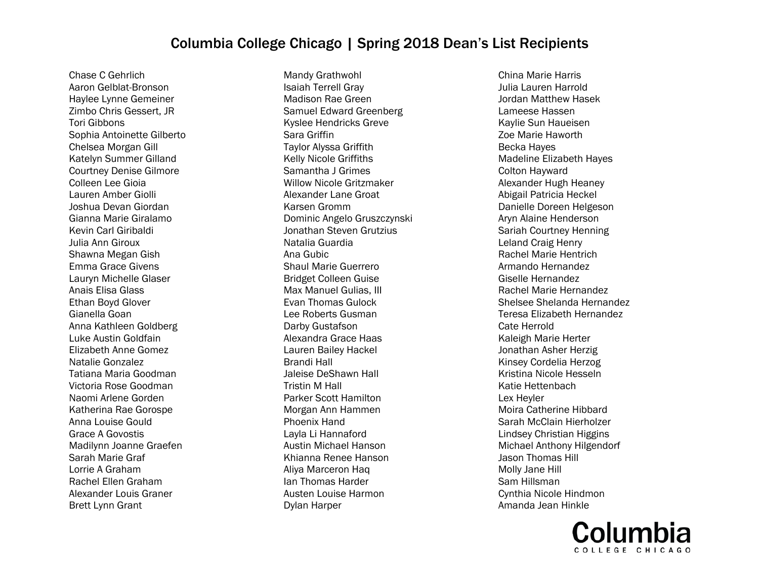Chase C Gehrlich Aaron Gelblat-Bronson Haylee Lynne Gemeiner Zimbo Chris Gessert, JR Tori Gibbons Sophia Antoinette Gilberto Chelsea Morgan Gill Katelyn Summer Gilland Courtney Denise Gilmore Colleen Lee Gioia Lauren Amber Giolli Joshua Devan Giordan Gianna Marie Giralamo Kevin Carl Giribaldi Julia Ann Giroux Shawna Megan Gish Emma Grace Givens Lauryn Michelle Glaser Anais Elisa Glass Ethan Boyd Glover Gianella Goan Anna Kathleen Goldberg Luke Austin Goldfain Elizabeth Anne Gomez Natalie Gonzalez Tatiana Maria Goodman Victoria Rose Goodman Naomi Arlene Gorden Katherina Rae Gorospe Anna Louise Gould Grace A Govostis Madilynn Joanne Graefen Sarah Marie Graf Lorrie A Graham Rachel Ellen Graham Alexander Louis Graner Brett Lynn Grant

Mandy Grathwohl Isaiah Terrell Gray Madison Rae Green Samuel Edward Greenberg Kyslee Hendricks Greve Sara Griffin Taylor Alyssa Griffith Kelly Nicole Griffiths Samantha J Grimes Willow Nicole Gritzmaker Alexander Lane Groat Karsen Gromm Dominic Angelo Gruszczynski Jonathan Steven Grutzius Natalia Guardia Ana Gubic Shaul Marie Guerrero Bridget Colleen Guise Max Manuel Gulias, III Evan Thomas Gulock Lee Roberts Gusman Darby Gustafson Alexandra Grace Haas Lauren Bailey Hackel Brandi Hall Jaleise DeShawn Hall Tristin M Hall Parker Scott Hamilton Morgan Ann Hammen Phoenix Hand Layla Li Hannaford Austin Michael Hanson Khianna Renee Hanson Aliya Marceron Haq Ian Thomas Harder Austen Louise Harmon Dylan Harper

China Marie Harris Julia Lauren Harrold Jordan Matthew Hasek Lameese Hassen Kaylie Sun Haueisen Zoe Marie Haworth Becka Hayes Madeline Elizabeth Hayes Colton Hayward Alexander Hugh Heaney Abigail Patricia Heckel Danielle Doreen Helgeson Aryn Alaine Henderson Sariah Courtney Henning Leland Craig Henry Rachel Marie Hentrich Armando Hernandez Giselle Hernandez Rachel Marie Hernandez Shelsee Shelanda Hernandez Teresa Elizabeth Hernandez Cate Herrold Kaleigh Marie Herter Jonathan Asher Herzig Kinsey Cordelia Herzog Kristina Nicole Hesseln Katie Hettenbach Lex Heyler Moira Catherine Hibbard Sarah McClain Hierholzer Lindsey Christian Higgins Michael Anthony Hilgendorf Jason Thomas Hill Molly Jane Hill Sam Hillsman Cynthia Nicole Hindmon Amanda Jean Hinkle

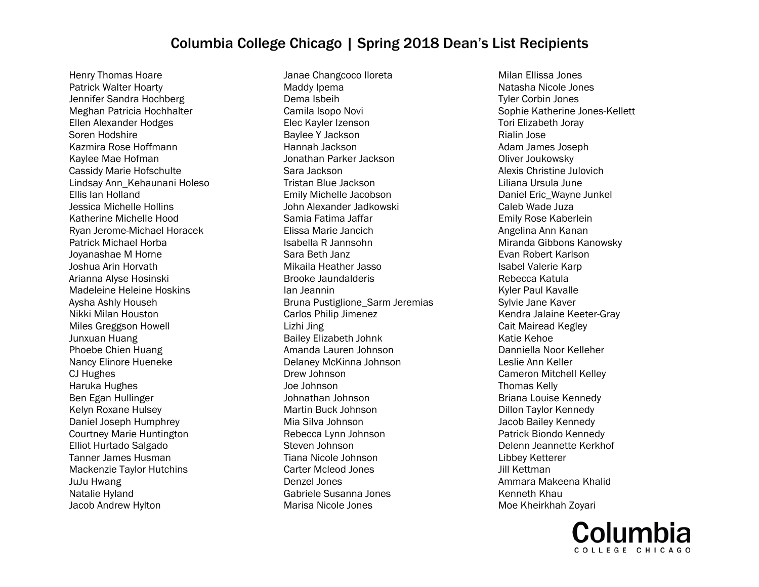Henry Thomas Hoare Patrick Walter Hoarty Jennifer Sandra Hochberg Meghan Patricia Hochhalter Ellen Alexander Hodges Soren Hodshire Kazmira Rose Hoffmann Kaylee Mae Hofman Cassidy Marie Hofschulte Lindsay Ann\_Kehaunani Holeso Ellis Ian Holland Jessica Michelle Hollins Katherine Michelle Hood Ryan Jerome-Michael Horacek Patrick Michael Horba Joyanashae M Horne Joshua Arin Horvath Arianna Alyse Hosinski Madeleine Heleine Hoskins Aysha Ashly Househ Nikki Milan Houston Miles Greggson Howell Junxuan Huang Phoebe Chien Huang Nancy Elinore Hueneke CJ Hughes Haruka Hughes Ben Egan Hullinger Kelyn Roxane Hulsey Daniel Joseph Humphrey Courtney Marie Huntington Elliot Hurtado Salgado Tanner James Husman Mackenzie Taylor Hutchins JuJu Hwang Natalie Hyland Jacob Andrew Hylton

Janae Changcoco Iloreta Maddy Ipema Dema Isbeih Camila Isopo Novi Elec Kayler Izenson Baylee Y Jackson Hannah Jackson Jonathan Parker Jackson Sara Jackson Tristan Blue Jackson Emily Michelle Jacobson John Alexander Jadkowski Samia Fatima Jaffar Elissa Marie Jancich Isabella R Jannsohn Sara Beth Janz Mikaila Heather Jasso Brooke Jaundalderis Ian Jeannin Bruna Pustiglione\_Sarm Jeremias Carlos Philip Jimenez Lizhi Jing Bailey Elizabeth Johnk Amanda Lauren Johnson Delaney McKinna Johnson Drew Johnson Joe Johnson Johnathan Johnson Martin Buck Johnson Mia Silva Johnson Rebecca Lynn Johnson Steven Johnson Tiana Nicole Johnson Carter Mcleod Jones Denzel Jones Gabriele Susanna Jones Marisa Nicole Jones

Milan Ellissa Jones Natasha Nicole Jones Tyler Corbin Jones Sophie Katherine Jones-Kellett Tori Elizabeth Joray Rialin Jose Adam James Joseph Oliver Joukowsky Alexis Christine Julovich Liliana Ursula June Daniel Eric\_Wayne Junkel Caleb Wade Juza Emily Rose Kaberlein Angelina Ann Kanan Miranda Gibbons Kanowsky Evan Robert Karlson Isabel Valerie Karp Rebecca Katula Kyler Paul Kavalle Sylvie Jane Kaver Kendra Jalaine Keeter-Gray Cait Mairead Kegley Katie Kehoe Danniella Noor Kelleher Leslie Ann Keller Cameron Mitchell Kelley Thomas Kelly Briana Louise Kennedy Dillon Taylor Kennedy Jacob Bailey Kennedy Patrick Biondo Kennedy Delenn Jeannette Kerkhof Libbey Ketterer Jill Kettman Ammara Makeena Khalid Kenneth Khau Moe Kheirkhah Zoyari

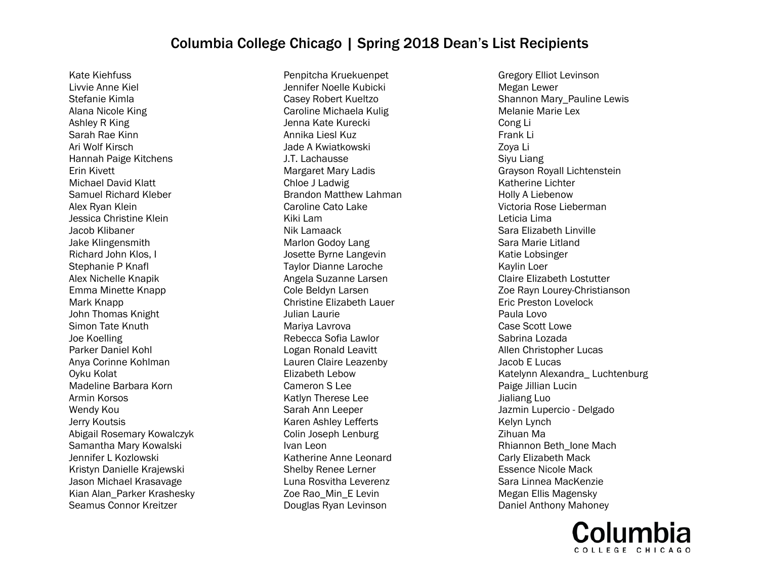Kate Kiehfuss Livvie Anne Kiel Stefanie Kimla Alana Nicole King Ashley R King Sarah Rae Kinn Ari Wolf Kirsch Hannah Paige Kitchens Erin Kivett Michael David Klatt Samuel Richard Kleber Alex Ryan Klein Jessica Christine Klein Jacob Klibaner Jake Klingensmith Richard John Klos, I Stephanie P Knafl Alex Nichelle Knapik Emma Minette Knapp Mark Knapp John Thomas Knight Simon Tate Knuth Joe Koelling Parker Daniel Kohl Anya Corinne Kohlman Oyku Kolat Madeline Barbara Korn Armin Korsos Wendy Kou Jerry Koutsis Abigail Rosemary Kowalczyk Samantha Mary Kowalski Jennifer L Kozlowski Kristyn Danielle Krajewski Jason Michael Krasavage Kian Alan\_Parker Krashesky Seamus Connor Kreitzer

Penpitcha Kruekuenpet Jennifer Noelle Kubicki Casey Robert Kueltzo Caroline Michaela Kulig Jenna Kate Kurecki Annika Liesl Kuz Jade A Kwiatkowski J.T. Lachausse Margaret Mary Ladis Chloe J Ladwig Brandon Matthew Lahman Caroline Cato Lake Kiki Lam Nik Lamaack Marlon Godoy Lang Josette Byrne Langevin Taylor Dianne Laroche Angela Suzanne Larsen Cole Beldyn Larsen Christine Elizabeth Lauer Julian Laurie Mariya Lavrova Rebecca Sofia Lawlor Logan Ronald Leavitt Lauren Claire Leazenby Elizabeth Lebow Cameron S Lee Katlyn Therese Lee Sarah Ann Leeper Karen Ashley Lefferts Colin Joseph Lenburg Ivan Leon Katherine Anne Leonard Shelby Renee Lerner Luna Rosvitha Leverenz Zoe Rao\_Min\_E Levin Douglas Ryan Levinson

Gregory Elliot Levinson Megan Lewer Shannon Mary\_Pauline Lewis Melanie Marie Lex Cong Li Frank Li Zoya Li Siyu Liang Grayson Royall Lichtenstein Katherine Lichter Holly A Liebenow Victoria Rose Lieberman Leticia Lima Sara Elizabeth Linville Sara Marie Litland Katie Lobsinger Kaylin Loer Claire Elizabeth Lostutter Zoe Rayn Lourey-Christianson Eric Preston Lovelock Paula Lovo Case Scott Lowe Sabrina Lozada Allen Christopher Lucas Jacob E Lucas Katelynn Alexandra\_ Luchtenburg Paige Jillian Lucin Jialiang Luo Jazmin Lupercio - Delgado Kelyn Lynch Zihuan Ma Rhiannon Beth\_Ione Mach Carly Elizabeth Mack Essence Nicole Mack Sara Linnea MacKenzie Megan Ellis Magensky Daniel Anthony Mahoney

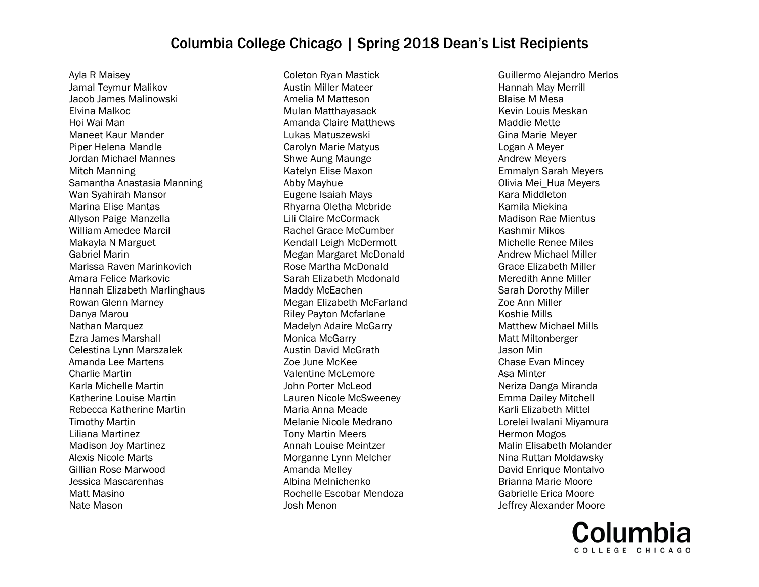Ayla R Maisey Jamal Teymur Malikov Jacob James Malinowski Elvina Malkoc Hoi Wai Man Maneet Kaur Mander Piper Helena Mandle Jordan Michael Mannes Mitch Manning Samantha Anastasia Manning Wan Syahirah Mansor Marina Elise Mantas Allyson Paige Manzella William Amedee Marcil Makayla N Marguet Gabriel Marin Marissa Raven Marinkovich Amara Felice Markovic Hannah Elizabeth Marlinghaus Rowan Glenn Marney Danya Marou Nathan Marquez Ezra James Marshall Celestina Lynn Marszalek Amanda Lee Martens Charlie Martin Karla Michelle Martin Katherine Louise Martin Rebecca Katherine Martin Timothy Martin Liliana Martinez Madison Joy Martinez Alexis Nicole Marts Gillian Rose Marwood Jessica Mascarenhas Matt Masino Nate Mason

Coleton Ryan Mastick Austin Miller Mateer Amelia M Matteson Mulan Matthayasack Amanda Claire Matthews Lukas Matuszewski Carolyn Marie Matyus Shwe Aung Maunge Katelyn Elise Maxon Abby Mayhue Eugene Isaiah Mays Rhyarna Oletha Mcbride Lili Claire McCormack Rachel Grace McCumber Kendall Leigh McDermott Megan Margaret McDonald Rose Martha McDonald Sarah Elizabeth Mcdonald Maddy McEachen Megan Elizabeth McFarland Riley Payton Mcfarlane Madelyn Adaire McGarry Monica McGarry Austin David McGrath Zoe June McKee Valentine McLemore John Porter McLeod Lauren Nicole McSweeney Maria Anna Meade Melanie Nicole Medrano Tony Martin Meers Annah Louise Meintzer Morganne Lynn Melcher Amanda Melley Albina Melnichenko Rochelle Escobar Mendoza Josh Menon

Guillermo Alejandro Merlos Hannah May Merrill Blaise M Mesa Kevin Louis Meskan Maddie Mette Gina Marie Meyer Logan A Meyer Andrew Meyers Emmalyn Sarah Meyers Olivia Mei\_Hua Meyers Kara Middleton Kamila Miekina Madison Rae Mientus Kashmir Mikos Michelle Renee Miles Andrew Michael Miller Grace Elizabeth Miller Meredith Anne Miller Sarah Dorothy Miller Zoe Ann Miller Koshie Mills Matthew Michael Mills Matt Miltonberger Jason Min Chase Evan Mincey Asa Minter Neriza Danga Miranda Emma Dailey Mitchell Karli Elizabeth Mittel Lorelei Iwalani Miyamura Hermon Mogos Malin Elisabeth Molander Nina Ruttan Moldawsky David Enrique Montalvo Brianna Marie Moore Gabrielle Erica Moore Jeffrey Alexander Moore

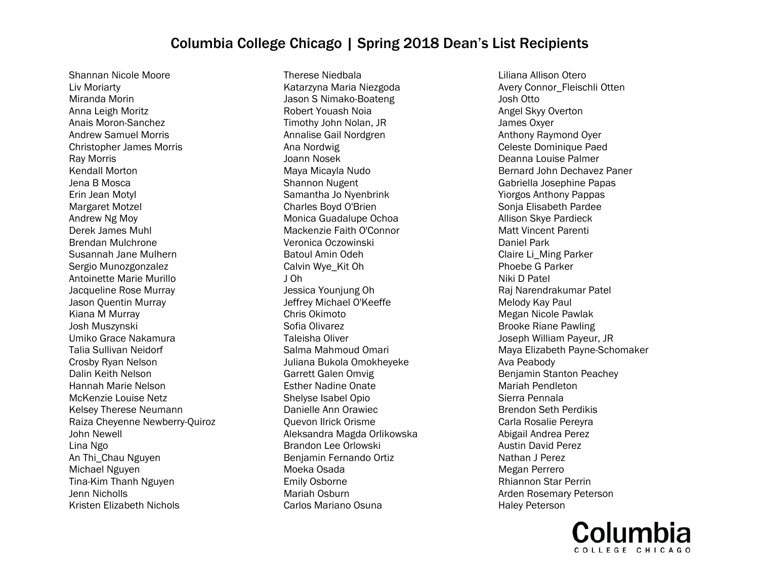Shannan Nicole Moore Liv Moriarty Miranda Morin Anna Leigh Moritz Anais Moron-Sanchez Andrew Samuel Morris Christopher James Morris Ray Morris Kendall Morton Jena B Mosca Erin Jean Motyl Margaret Motzel Andrew Ng Moy Derek James Muhl Brendan Mulchrone Susannah Jane Mulhern Sergio Munozgonzalez Antoinette Marie Murillo Jacqueline Rose Murray Jason Quentin Murray Kiana M Murray Josh Muszynski Umiko Grace Nakamura Talia Sullivan Neidorf Crosby Ryan Nelson Dalin Keith Nelson Hannah Marie Nelson McKenzie Louise Netz Kelsey Therese Neumann Raiza Cheyenne Newberry-Quiroz John Newell Lina Ngo An Thi\_Chau Nguyen Michael Nguyen Tina-Kim Thanh Nguyen Jenn Nicholls Kristen Elizabeth Nichols

Therese Niedbala Katarzyna Maria Niezgoda Jason S Nimako-Boateng Robert Youash Noia Timothy John Nolan, JR Annalise Gail Nordgren Ana Nordwig Joann Nosek Maya Micayla Nudo Shannon Nugent Samantha Jo Nyenbrink Charles Boyd O'Brien Monica Guadalupe Ochoa Mackenzie Faith O'Connor Veronica Oczowinski Batoul Amin Odeh Calvin Wye\_Kit Oh J Oh Jessica Younjung Oh Jeffrey Michael O'Keeffe Chris Okimoto Sofia Olivarez Taleisha Oliver Salma Mahmoud Omari Juliana Bukola Omokheyeke Garrett Galen Omvig Esther Nadine Onate Shelyse Isabel Opio Danielle Ann Orawiec Quevon Ilrick Orisme Aleksandra Magda Orlikowska Brandon Lee Orlowski Benjamin Fernando Ortiz Moeka Osada Emily Osborne Mariah Osburn Carlos Mariano Osuna

Liliana Allison Otero Avery Connor\_Fleischli Otten Josh Otto Angel Skyy Overton James Oxyer Anthony Raymond Oyer Celeste Dominique Paed Deanna Louise Palmer Bernard John Dechavez Paner Gabriella Josephine Papas Yiorgos Anthony Pappas Sonja Elisabeth Pardee Allison Skye Pardieck Matt Vincent Parenti Daniel Park Claire Li\_Ming Parker Phoebe G Parker Niki D Patel Raj Narendrakumar Patel Melody Kay Paul Megan Nicole Pawlak Brooke Riane Pawling Joseph William Payeur, JR Maya Elizabeth Payne-Schomaker Ava Peabody Benjamin Stanton Peachey Mariah Pendleton Sierra Pennala Brendon Seth Perdikis Carla Rosalie Pereyra Abigail Andrea Perez Austin David Perez Nathan J Perez Megan Perrero Rhiannon Star Perrin Arden Rosemary Peterson Haley Peterson

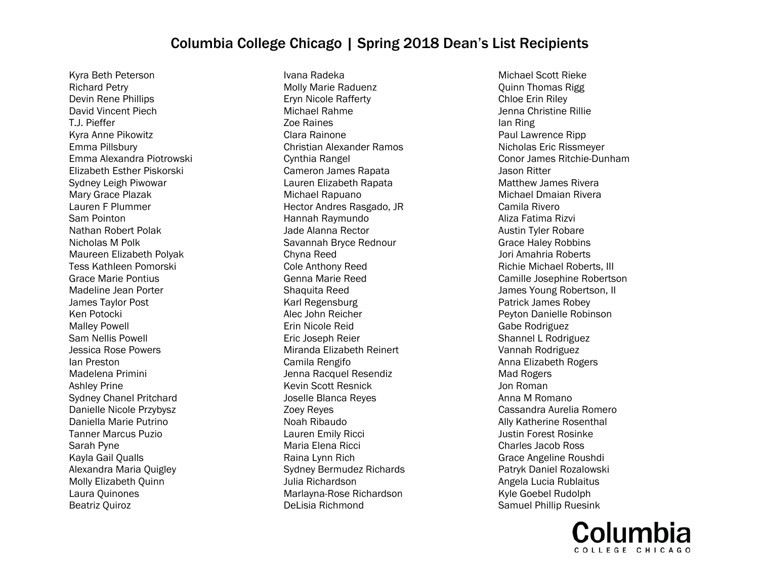Kyra Beth Peterson Richard Petry Devin Rene Phillips David Vincent Piech T.J. Pieffer Kyra Anne Pikowitz Emma Pillsbury Emma Alexandra Piotrowski Elizabeth Esther Piskorski Sydney Leigh Piwowar Mary Grace Plazak Lauren F Plummer Sam Pointon Nathan Robert Polak Nicholas M Polk Maureen Elizabeth Polyak Tess Kathleen Pomorski Grace Marie Pontius Madeline Jean Porter James Taylor Post Ken Potocki Malley Powell Sam Nellis Powell Jessica Rose Powers Ian Preston Madelena Primini Ashley Prine Sydney Chanel Pritchard Danielle Nicole Przybysz Daniella Marie Putrino Tanner Marcus Puzio Sarah Pyne Kayla Gail Qualls Alexandra Maria Quigley Molly Elizabeth Quinn Laura Quinones Beatriz Quiroz

Ivana Radeka Molly Marie Raduenz Eryn Nicole Rafferty Michael Rahme Zoe Raines Clara Rainone Christian Alexander Ramos Cynthia Rangel Cameron James Rapata Lauren Elizabeth Rapata Michael Rapuano Hector Andres Rasgado, JR Hannah Raymundo Jade Alanna Rector Savannah Bryce Rednour Chyna Reed Cole Anthony Reed Genna Marie Reed Shaquita Reed Karl Regensburg Alec John Reicher Erin Nicole Reid Eric Joseph Reier Miranda Elizabeth Reinert Camila Rengifo Jenna Racquel Resendiz Kevin Scott Resnick Joselle Blanca Reyes Zoey Reyes Noah Ribaudo Lauren Emily Ricci Maria Elena Ricci Raina Lynn Rich Sydney Bermudez Richards Julia Richardson Marlayna-Rose Richardson DeLisia Richmond

Michael Scott Rieke Quinn Thomas Rigg Chloe Erin Riley Jenna Christine Rillie Ian Ring Paul Lawrence Ripp Nicholas Eric Rissmeyer Conor James Ritchie-Dunham Jason Ritter Matthew James Rivera Michael Dmaian Rivera Camila Rivero Aliza Fatima Rizvi Austin Tyler Robare Grace Haley Robbins Jori Amahria Roberts Richie Michael Roberts, III Camille Josephine Robertson James Young Robertson, II Patrick James Robey Peyton Danielle Robinson Gabe Rodriguez Shannel L Rodriguez Vannah Rodriguez Anna Elizabeth Rogers Mad Rogers Jon Roman Anna M Romano Cassandra Aurelia Romero Ally Katherine Rosenthal Justin Forest Rosinke Charles Jacob Ross Grace Angeline Roushdi Patryk Daniel Rozalowski Angela Lucia Rublaitus Kyle Goebel Rudolph Samuel Phillip Ruesink

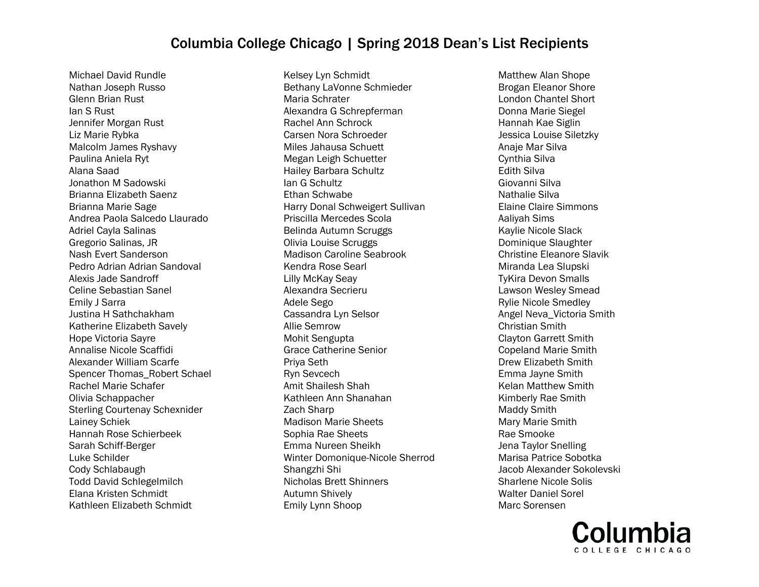Michael David Rundle Nathan Joseph Russo Glenn Brian Rust Ian S Rust Jennifer Morgan Rust Liz Marie Rybka Malcolm James Ryshavy Paulina Aniela Ryt Alana Saad Jonathon M Sadowski Brianna Elizabeth Saenz Brianna Marie Sage Andrea Paola Salcedo Llaurado Adriel Cayla Salinas Gregorio Salinas, JR Nash Evert Sanderson Pedro Adrian Adrian Sandoval Alexis Jade Sandroff Celine Sebastian Sanel Emily J Sarra Justina H Sathchakham Katherine Elizabeth Savely Hope Victoria Sayre Annalise Nicole Scaffidi Alexander William Scarfe Spencer Thomas\_Robert Schael Rachel Marie Schafer Olivia Schappacher Sterling Courtenay Schexnider Lainey Schiek Hannah Rose Schierbeek Sarah Schiff-Berger Luke Schilder Cody Schlabaugh Todd David Schlegelmilch Elana Kristen Schmidt Kathleen Elizabeth Schmidt

Kelsey Lyn Schmidt Bethany LaVonne Schmieder Maria Schrater Alexandra G Schrepferman Rachel Ann Schrock Carsen Nora Schroeder Miles Jahausa Schuett Megan Leigh Schuetter Hailey Barbara Schultz Ian G Schultz Ethan Schwabe Harry Donal Schweigert Sullivan Priscilla Mercedes Scola Belinda Autumn Scruggs Olivia Louise Scruggs Madison Caroline Seabrook Kendra Rose Searl Lilly McKay Seay Alexandra Secrieru Adele Sego Cassandra Lyn Selsor Allie Semrow Mohit Sengupta Grace Catherine Senior Priya Seth Ryn Sevcech Amit Shailesh Shah Kathleen Ann Shanahan Zach Sharp Madison Marie Sheets Sophia Rae Sheets Emma Nureen Sheikh Winter Domonique-Nicole Sherrod Shangzhi Shi Nicholas Brett Shinners Autumn Shively Emily Lynn Shoop

Matthew Alan Shope Brogan Eleanor Shore London Chantel Short Donna Marie Siegel Hannah Kae Siglin Jessica Louise Siletzky Anaje Mar Silva Cynthia Silva Edith Silva Giovanni Silva Nathalie Silva Elaine Claire Simmons Aaliyah Sims Kaylie Nicole Slack Dominique Slaughter Christine Eleanore Slavik Miranda Lea Slupski TyKira Devon Smalls Lawson Wesley Smead Rylie Nicole Smedley Angel Neva\_Victoria Smith Christian Smith Clayton Garrett Smith Copeland Marie Smith Drew Elizabeth Smith Emma Jayne Smith Kelan Matthew Smith Kimberly Rae Smith Maddy Smith Mary Marie Smith Rae Smooke Jena Taylor Snelling Marisa Patrice Sobotka Jacob Alexander Sokolevski Sharlene Nicole Solis Walter Daniel Sorel Marc Sorensen

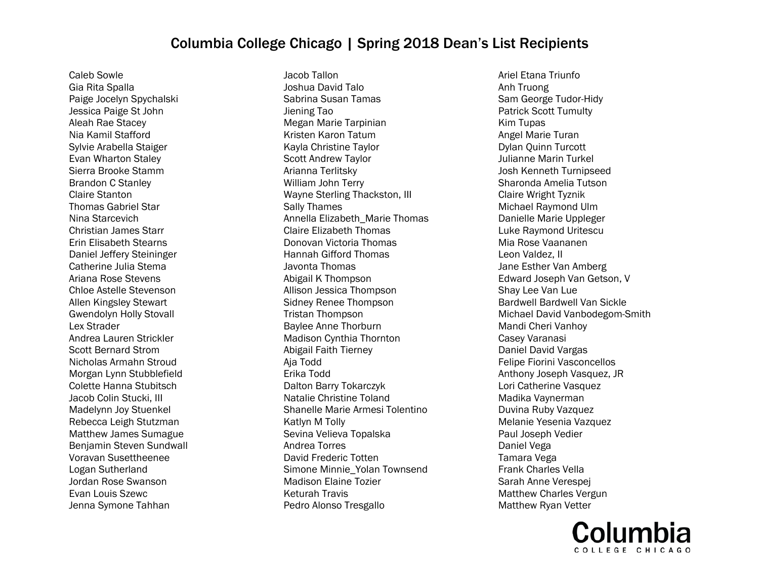Caleb Sowle Gia Rita Spalla Paige Jocelyn Spychalski Jessica Paige St John Aleah Rae Stacey Nia Kamil Stafford Sylvie Arabella Staiger Evan Wharton Staley Sierra Brooke Stamm Brandon C Stanley Claire Stanton Thomas Gabriel Star Nina Starcevich Christian James Starr Erin Elisabeth Stearns Daniel Jeffery Steininger Catherine Julia Stema Ariana Rose Stevens Chloe Astelle Stevenson Allen Kingsley Stewart Gwendolyn Holly Stovall Lex Strader Andrea Lauren Strickler Scott Bernard Strom Nicholas Armahn Stroud Morgan Lynn Stubblefield Colette Hanna Stubitsch Jacob Colin Stucki, III Madelynn Joy Stuenkel Rebecca Leigh Stutzman Matthew James Sumague Benjamin Steven Sundwall Voravan Susettheenee Logan Sutherland Jordan Rose Swanson Evan Louis Szewc Jenna Symone Tahhan

Jacob Tallon Joshua David Talo Sabrina Susan Tamas Jiening Tao Megan Marie Tarpinian Kristen Karon Tatum Kayla Christine Taylor Scott Andrew Taylor Arianna Terlitsky William John Terry Wayne Sterling Thackston, III Sally Thames Annella Elizabeth\_Marie Thomas Claire Elizabeth Thomas Donovan Victoria Thomas Hannah Gifford Thomas Javonta Thomas Abigail K Thompson Allison Jessica Thompson Sidney Renee Thompson Tristan Thompson Baylee Anne Thorburn Madison Cynthia Thornton Abigail Faith Tierney Aja Todd Erika Todd Dalton Barry Tokarczyk Natalie Christine Toland Shanelle Marie Armesi Tolentino Katlyn M Tolly Sevina Velieva Topalska Andrea Torres David Frederic Totten Simone Minnie\_Yolan Townsend Madison Elaine Tozier Keturah Travis Pedro Alonso Tresgallo

Ariel Etana Triunfo Anh Truong Sam George Tudor-Hidy Patrick Scott Tumulty Kim Tupas Angel Marie Turan Dylan Quinn Turcott Julianne Marin Turkel Josh Kenneth Turnipseed Sharonda Amelia Tutson Claire Wright Tyznik Michael Raymond Ulm Danielle Marie Uppleger Luke Raymond Uritescu Mia Rose Vaananen Leon Valdez, II Jane Esther Van Amberg Edward Joseph Van Getson, V Shay Lee Van Lue Bardwell Bardwell Van Sickle Michael David Vanbodegom-Smith Mandi Cheri Vanhoy Casey Varanasi Daniel David Vargas Felipe Fiorini Vasconcellos Anthony Joseph Vasquez, JR Lori Catherine Vasquez Madika Vaynerman Duvina Ruby Vazquez Melanie Yesenia Vazquez Paul Joseph Vedier Daniel Vega Tamara Vega Frank Charles Vella Sarah Anne Verespej Matthew Charles Vergun Matthew Ryan Vetter